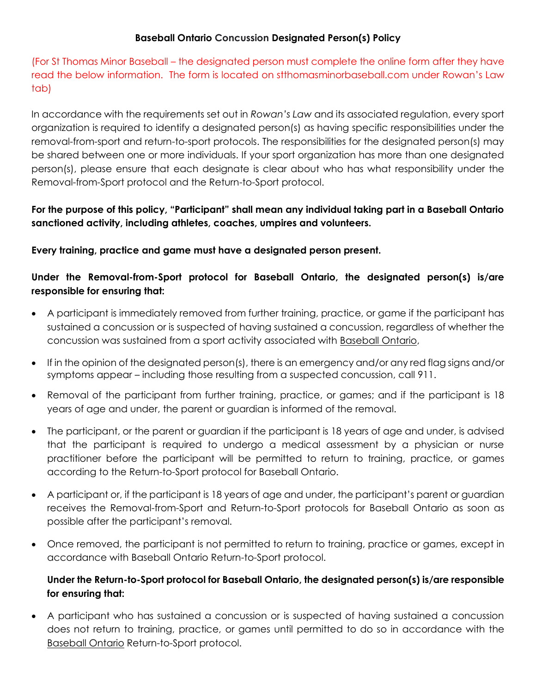## **Baseball Ontario Concussion Designated Person(s) Policy**

(For St Thomas Minor Baseball – the designated person must complete the online form after they have read the below information. The form is located on stthomasminorbaseball.com under Rowan's Law tab)

In accordance with the requirements set out in *Rowan's Law* and its associated regulation, every sport organization is required to identify a designated person(s) as having specific responsibilities under the removal-from-sport and return-to-sport protocols. The responsibilities for the designated person(s) may be shared between one or more individuals. If your sport organization has more than one designated person(s), please ensure that each designate is clear about who has what responsibility under the Removal-from-Sport protocol and the Return-to-Sport protocol.

# **For the purpose of this policy, "Participant" shall mean any individual taking part in a Baseball Ontario sanctioned activity, including athletes, coaches, umpires and volunteers.**

## **Every training, practice and game must have a designated person present.**

# **Under the Removal-from-Sport protocol for Baseball Ontario, the designated person(s) is/are responsible for ensuring that:**

- A participant is immediately removed from further training, practice, or game if the participant has sustained a concussion or is suspected of having sustained a concussion, regardless of whether the concussion was sustained from a sport activity associated with Baseball Ontario,
- If in the opinion of the designated person(s), there is an emergency and/or any red flag signs and/or symptoms appear – including those resulting from a suspected concussion, call 911.
- Removal of the participant from further training, practice, or games; and if the participant is 18 years of age and under, the parent or guardian is informed of the removal.
- The participant, or the parent or guardian if the participant is 18 years of age and under, is advised that the participant is required to undergo a medical assessment by a physician or nurse practitioner before the participant will be permitted to return to training, practice, or games according to the Return-to-Sport protocol for Baseball Ontario.
- A participant or, if the participant is 18 years of age and under, the participant's parent or guardian receives the Removal-from-Sport and Return-to-Sport protocols for Baseball Ontario as soon as possible after the participant's removal.
- Once removed, the participant is not permitted to return to training, practice or games, except in accordance with Baseball Ontario Return-to-Sport protocol.

## **Under the Return-to-Sport protocol for Baseball Ontario, the designated person(s) is/are responsible for ensuring that:**

• A participant who has sustained a concussion or is suspected of having sustained a concussion does not return to training, practice, or games until permitted to do so in accordance with the Baseball Ontario Return-to-Sport protocol.